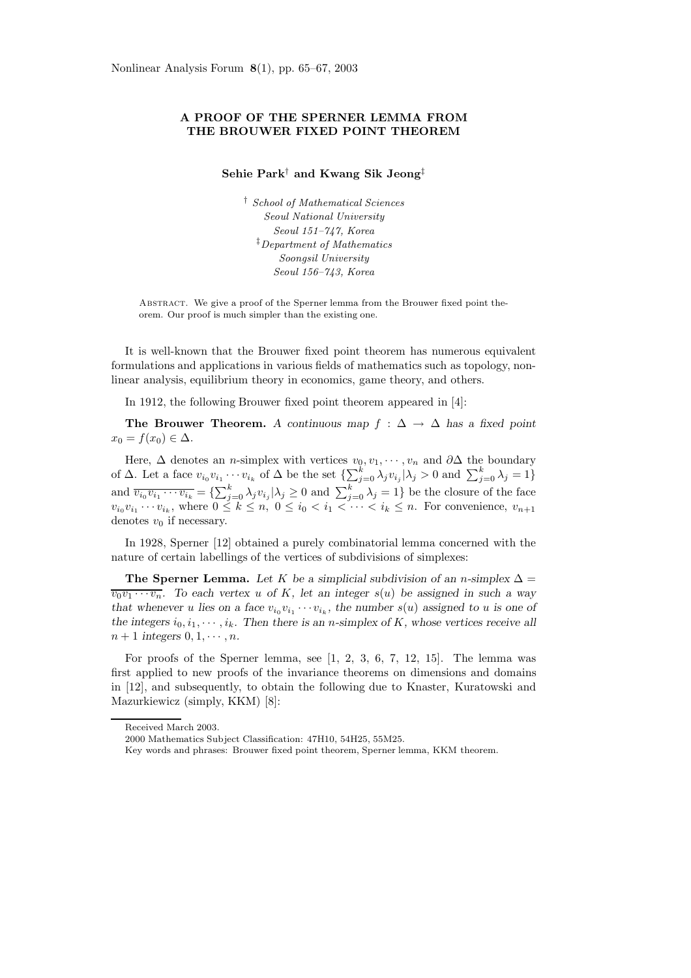## **A PROOF OF THE SPERNER LEMMA FROM THE BROUWER FIXED POINT THEOREM**

## **Sehie Park**† **and Kwang Sik Jeong**‡

† School of Mathematical Sciences Seoul National University Seoul 151–747, Korea ‡Department of Mathematics Soongsil University Seoul 156–743, Korea

Abstract. We give a proof of the Sperner lemma from the Brouwer fixed point theorem. Our proof is much simpler than the existing one.

It is well-known that the Brouwer fixed point theorem has numerous equivalent formulations and applications in various fields of mathematics such as topology, nonlinear analysis, equilibrium theory in economics, game theory, and others.

In 1912, the following Brouwer fixed point theorem appeared in [4]:

**The Brouwer Theorem.** A continuous map  $f : \Delta \to \Delta$  has a fixed point  $x_0 = f(x_0) \in \Delta$ .

Here,  $\Delta$  denotes an *n*-simplex with vertices  $v_0, v_1, \dots, v_n$  and  $\partial \Delta$  the boundary of  $\Delta$ . Let a face  $v_{i_0}v_{i_1}\cdots v_{i_k}$  of  $\Delta$  be the set  $\{\sum_{j=0}^k \lambda_j v_{i_j} | \lambda_j > 0$  and  $\sum_{j=0}^k \lambda_j = 1\}$ and  $\overline{v_{i_0}v_{i_1}\cdots v_{i_k}} = \{\sum_{j=0}^k \lambda_j v_{i_j} | \lambda_j \geq 0 \text{ and } \sum_{j=0}^k \lambda_j = 1 \}$  be the closure of the face  $v_{i_0}v_{i_1}\cdots v_{i_k}$ , where  $0 \leq k \leq n$ ,  $0 \leq i_0 < i_1 < \cdots < i_k \leq n$ . For convenience,  $v_{n+1}$ denotes  $v_0$  if necessary.

In 1928, Sperner [12] obtained a purely combinatorial lemma concerned with the nature of certain labellings of the vertices of subdivisions of simplexes:

**The Sperner Lemma.** Let K be a simplicial subdivision of an n-simplex  $\Delta$  =  $\overline{v_0v_1\cdots v_n}$ . To each vertex u of K, let an integer  $s(u)$  be assigned in such a way *that whenever* u lies on a face  $v_{i_0}v_{i_1}\cdots v_{i_k}$ , the number  $s(u)$  assigned to u is one of the integers  $i_0, i_1, \dots, i_k$ . Then there is an *n*-simplex of K, whose vertices receive all  $n+1$  *integers*  $0, 1, \cdots, n$ *.* 

For proofs of the Sperner lemma, see [1, 2, 3, 6, 7, 12, 15]. The lemma was first applied to new proofs of the invariance theorems on dimensions and domains in [12], and subsequently, to obtain the following due to Knaster, Kuratowski and Mazurkiewicz (simply, KKM) [8]:

Received March 2003.

<sup>2000</sup> Mathematics Subject Classification: 47H10, 54H25, 55M25.

Key words and phrases: Brouwer fixed point theorem, Sperner lemma, KKM theorem.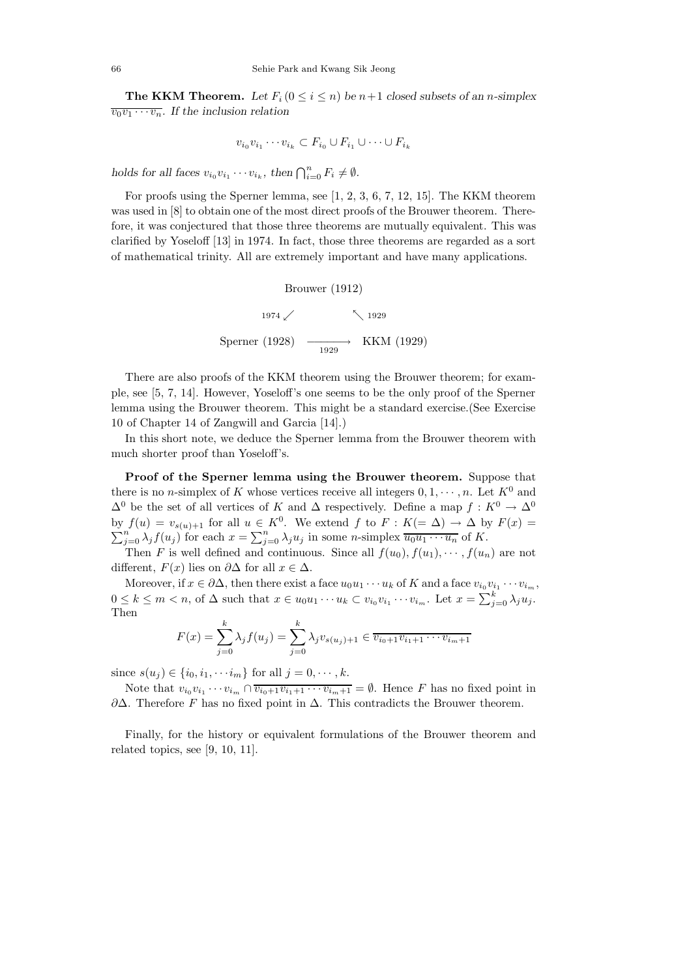**The KKM Theorem.** Let  $F_i$  ( $0 \leq i \leq n$ ) be  $n+1$  closed subsets of an *n*-simplex  $\overline{v_0v_1\cdots v_n}$ . If the inclusion relation

$$
v_{i_0}v_{i_1}\cdots v_{i_k}\subset F_{i_0}\cup F_{i_1}\cup\cdots\cup F_{i_k}
$$

*holds for all faces*  $v_{i_0}v_{i_1}\cdots v_{i_k}$ , then  $\bigcap_{i=0}^n F_i \neq \emptyset$ .

For proofs using the Sperner lemma, see [1, 2, 3, 6, 7, 12, 15]. The KKM theorem was used in [8] to obtain one of the most direct proofs of the Brouwer theorem. Therefore, it was conjectured that those three theorems are mutually equivalent. This was clarified by Yoseloff [13] in 1974. In fact, those three theorems are regarded as a sort of mathematical trinity. All are extremely important and have many applications.

Brouwer (1912)

\n
$$
1974 \swarrow \quad \searrow 1929
$$
\nSperner (1928)

\n
$$
\xrightarrow[1929]{} \quad \xrightarrow[1929]{} \quad \text{KKM (1929)}
$$

There are also proofs of the KKM theorem using the Brouwer theorem; for example, see [5, 7, 14]. However, Yoseloff's one seems to be the only proof of the Sperner lemma using the Brouwer theorem. This might be a standard exercise.(See Exercise 10 of Chapter 14 of Zangwill and Garcia [14].)

In this short note, we deduce the Sperner lemma from the Brouwer theorem with much shorter proof than Yoseloff's.

**Proof of the Sperner lemma using the Brouwer theorem.** Suppose that there is no *n*-simplex of K whose vertices receive all integers  $0, 1, \dots, n$ . Let  $K^0$  and  $\Delta^0$  be the set of all vertices of K and  $\Delta$  respectively. Define a map  $f: K^0 \to \Delta^0$ by  $f(u) = v_{s(u)+1}$  for all  $u \in K^0$ . We extend  $f$  to  $F : K (= \Delta) \to \Delta$  by  $F(x) = \sum_{j=0}^n \lambda_j f(u_j)$  for each  $x = \sum_{j=0}^n \lambda_j u_j$  in some *n*-simplex  $\overline{u_0 u_1 \cdots u_n}$  of  $K$ .

Then F is well defined and continuous. Since all  $f(u_0), f(u_1), \cdots, f(u_n)$  are not different,  $F(x)$  lies on  $\partial \Delta$  for all  $x \in \Delta$ .

Moreover, if  $x \in \partial \Delta$ , then there exist a face  $u_0u_1 \cdots u_k$  of K and a face  $v_{i_0}v_{i_1} \cdots v_{i_m}$ ,  $0 \leq k \leq m < n$ , of  $\Delta$  such that  $x \in u_0u_1 \cdots u_k \subset v_{i_0}v_{i_1} \cdots v_{i_m}$ . Let  $x = \sum_{j=0}^k \lambda_j u_j$ . Then

$$
F(x) = \sum_{j=0}^{k} \lambda_j f(u_j) = \sum_{j=0}^{k} \lambda_j v_{s(u_j)+1} \in \overline{v_{i_0+1}v_{i_1+1}\cdots v_{i_m+1}}
$$

since  $s(u_j) \in \{i_0, i_1, \dots, i_m\}$  for all  $j = 0, \dots, k$ .

Note that  $v_{i_0}v_{i_1}\cdots v_{i_m}\cap \overline{v_{i_0+1}v_{i_1+1}\cdots v_{i_m+1}}=\emptyset$ . Hence F has no fixed point in  $\partial\Delta$ . Therefore F has no fixed point in  $\Delta$ . This contradicts the Brouwer theorem.

Finally, for the history or equivalent formulations of the Brouwer theorem and related topics, see [9, 10, 11].